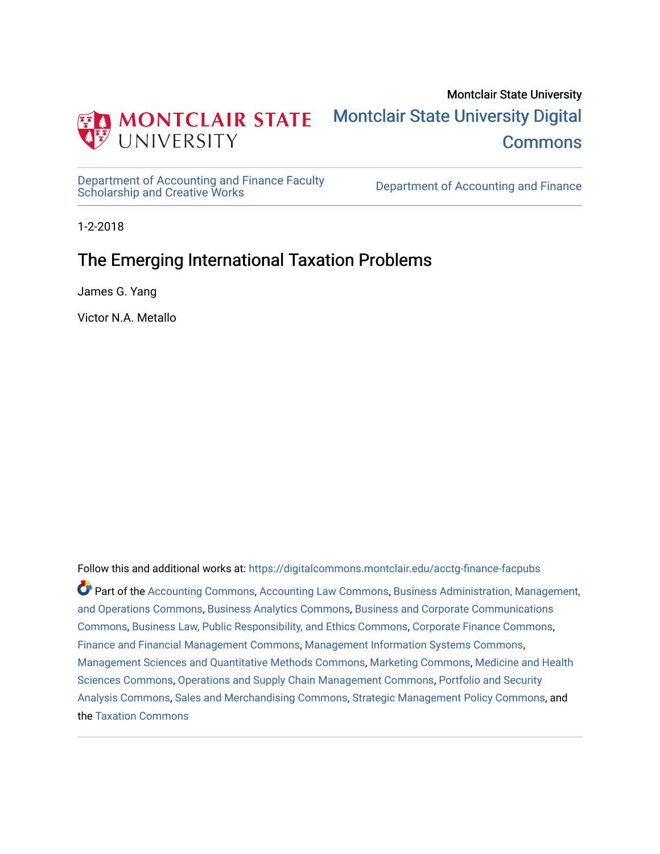

[Department of Accounting and Finance Faculty](https://digitalcommons.montclair.edu/acctg-finance-facpubs)<br>Scholarship and Creative Works

Department of Accounting and Finance

1-2-2018

# The Emerging International Taxation Problems

James G. Yang

Victor N.A. Metallo

Follow this and additional works at: [https://digitalcommons.montclair.edu/acctg-finance-facpubs](https://digitalcommons.montclair.edu/acctg-finance-facpubs?utm_source=digitalcommons.montclair.edu%2Facctg-finance-facpubs%2F148&utm_medium=PDF&utm_campaign=PDFCoverPages)  Part of the [Accounting Commons](http://network.bepress.com/hgg/discipline/625?utm_source=digitalcommons.montclair.edu%2Facctg-finance-facpubs%2F148&utm_medium=PDF&utm_campaign=PDFCoverPages), [Accounting Law Commons,](http://network.bepress.com/hgg/discipline/828?utm_source=digitalcommons.montclair.edu%2Facctg-finance-facpubs%2F148&utm_medium=PDF&utm_campaign=PDFCoverPages) [Business Administration, Management,](http://network.bepress.com/hgg/discipline/623?utm_source=digitalcommons.montclair.edu%2Facctg-finance-facpubs%2F148&utm_medium=PDF&utm_campaign=PDFCoverPages)  [and Operations Commons](http://network.bepress.com/hgg/discipline/623?utm_source=digitalcommons.montclair.edu%2Facctg-finance-facpubs%2F148&utm_medium=PDF&utm_campaign=PDFCoverPages), [Business Analytics Commons,](http://network.bepress.com/hgg/discipline/1398?utm_source=digitalcommons.montclair.edu%2Facctg-finance-facpubs%2F148&utm_medium=PDF&utm_campaign=PDFCoverPages) [Business and Corporate Communications](http://network.bepress.com/hgg/discipline/627?utm_source=digitalcommons.montclair.edu%2Facctg-finance-facpubs%2F148&utm_medium=PDF&utm_campaign=PDFCoverPages)  [Commons](http://network.bepress.com/hgg/discipline/627?utm_source=digitalcommons.montclair.edu%2Facctg-finance-facpubs%2F148&utm_medium=PDF&utm_campaign=PDFCoverPages), [Business Law, Public Responsibility, and Ethics Commons](http://network.bepress.com/hgg/discipline/628?utm_source=digitalcommons.montclair.edu%2Facctg-finance-facpubs%2F148&utm_medium=PDF&utm_campaign=PDFCoverPages), [Corporate Finance Commons,](http://network.bepress.com/hgg/discipline/629?utm_source=digitalcommons.montclair.edu%2Facctg-finance-facpubs%2F148&utm_medium=PDF&utm_campaign=PDFCoverPages) [Finance and Financial Management Commons](http://network.bepress.com/hgg/discipline/631?utm_source=digitalcommons.montclair.edu%2Facctg-finance-facpubs%2F148&utm_medium=PDF&utm_campaign=PDFCoverPages), [Management Information Systems Commons,](http://network.bepress.com/hgg/discipline/636?utm_source=digitalcommons.montclair.edu%2Facctg-finance-facpubs%2F148&utm_medium=PDF&utm_campaign=PDFCoverPages) [Management Sciences and Quantitative Methods Commons,](http://network.bepress.com/hgg/discipline/637?utm_source=digitalcommons.montclair.edu%2Facctg-finance-facpubs%2F148&utm_medium=PDF&utm_campaign=PDFCoverPages) [Marketing Commons,](http://network.bepress.com/hgg/discipline/638?utm_source=digitalcommons.montclair.edu%2Facctg-finance-facpubs%2F148&utm_medium=PDF&utm_campaign=PDFCoverPages) [Medicine and Health](http://network.bepress.com/hgg/discipline/648?utm_source=digitalcommons.montclair.edu%2Facctg-finance-facpubs%2F148&utm_medium=PDF&utm_campaign=PDFCoverPages) [Sciences Commons,](http://network.bepress.com/hgg/discipline/648?utm_source=digitalcommons.montclair.edu%2Facctg-finance-facpubs%2F148&utm_medium=PDF&utm_campaign=PDFCoverPages) [Operations and Supply Chain Management Commons,](http://network.bepress.com/hgg/discipline/1229?utm_source=digitalcommons.montclair.edu%2Facctg-finance-facpubs%2F148&utm_medium=PDF&utm_campaign=PDFCoverPages) [Portfolio and Security](http://network.bepress.com/hgg/discipline/640?utm_source=digitalcommons.montclair.edu%2Facctg-finance-facpubs%2F148&utm_medium=PDF&utm_campaign=PDFCoverPages) [Analysis Commons,](http://network.bepress.com/hgg/discipline/640?utm_source=digitalcommons.montclair.edu%2Facctg-finance-facpubs%2F148&utm_medium=PDF&utm_campaign=PDFCoverPages) [Sales and Merchandising Commons,](http://network.bepress.com/hgg/discipline/646?utm_source=digitalcommons.montclair.edu%2Facctg-finance-facpubs%2F148&utm_medium=PDF&utm_campaign=PDFCoverPages) [Strategic Management Policy Commons,](http://network.bepress.com/hgg/discipline/642?utm_source=digitalcommons.montclair.edu%2Facctg-finance-facpubs%2F148&utm_medium=PDF&utm_campaign=PDFCoverPages) and the [Taxation Commons](http://network.bepress.com/hgg/discipline/643?utm_source=digitalcommons.montclair.edu%2Facctg-finance-facpubs%2F148&utm_medium=PDF&utm_campaign=PDFCoverPages)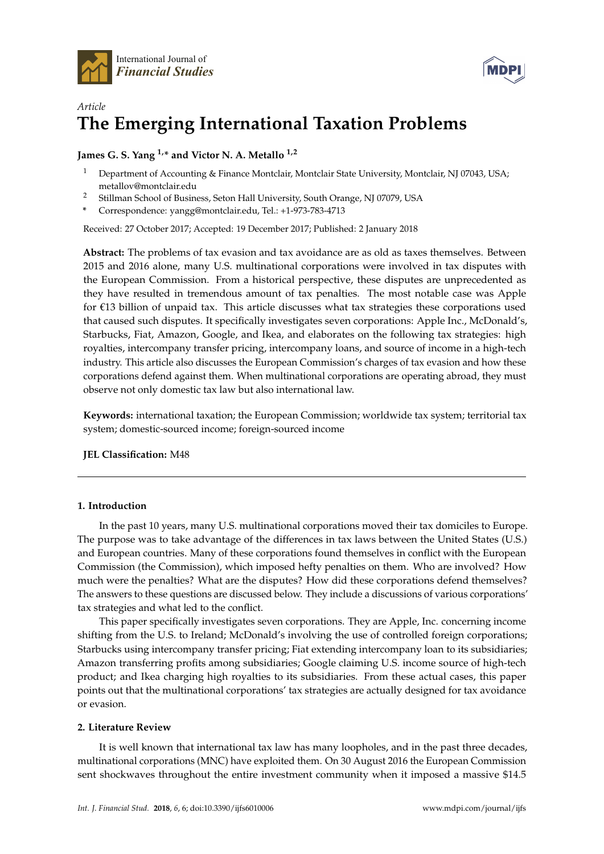



## *Article* **The Emerging International Taxation Problems**

## **James G. S. Yang 1,\* and Victor N. A. Metallo 1,2**

- <sup>1</sup> Department of Accounting & Finance Montclair, Montclair State University, Montclair, NJ 07043, USA; metallov@montclair.edu
- <sup>2</sup> Stillman School of Business, Seton Hall University, South Orange, NJ 07079, USA
- **\*** Correspondence: yangg@montclair.edu, Tel.: +1-973-783-4713

Received: 27 October 2017; Accepted: 19 December 2017; Published: 2 January 2018

**Abstract:** The problems of tax evasion and tax avoidance are as old as taxes themselves. Between 2015 and 2016 alone, many U.S. multinational corporations were involved in tax disputes with the European Commission. From a historical perspective, these disputes are unprecedented as they have resulted in tremendous amount of tax penalties. The most notable case was Apple for €13 billion of unpaid tax. This article discusses what tax strategies these corporations used that caused such disputes. It specifically investigates seven corporations: Apple Inc., McDonald's, Starbucks, Fiat, Amazon, Google, and Ikea, and elaborates on the following tax strategies: high royalties, intercompany transfer pricing, intercompany loans, and source of income in a high-tech industry. This article also discusses the European Commission's charges of tax evasion and how these corporations defend against them. When multinational corporations are operating abroad, they must observe not only domestic tax law but also international law.

**Keywords:** international taxation; the European Commission; worldwide tax system; territorial tax system; domestic-sourced income; foreign-sourced income

## **JEL Classification:** M48

## **1. Introduction**

In the past 10 years, many U.S. multinational corporations moved their tax domiciles to Europe. The purpose was to take advantage of the differences in tax laws between the United States (U.S.) and European countries. Many of these corporations found themselves in conflict with the European Commission (the Commission), which imposed hefty penalties on them. Who are involved? How much were the penalties? What are the disputes? How did these corporations defend themselves? The answers to these questions are discussed below. They include a discussions of various corporations' tax strategies and what led to the conflict.

This paper specifically investigates seven corporations. They are Apple, Inc. concerning income shifting from the U.S. to Ireland; McDonald's involving the use of controlled foreign corporations; Starbucks using intercompany transfer pricing; Fiat extending intercompany loan to its subsidiaries; Amazon transferring profits among subsidiaries; Google claiming U.S. income source of high-tech product; and Ikea charging high royalties to its subsidiaries. From these actual cases, this paper points out that the multinational corporations' tax strategies are actually designed for tax avoidance or evasion.

#### **2. Literature Review**

It is well known that international tax law has many loopholes, and in the past three decades, multinational corporations (MNC) have exploited them. On 30 August 2016 the European Commission sent shockwaves throughout the entire investment community when it imposed a massive \$14.5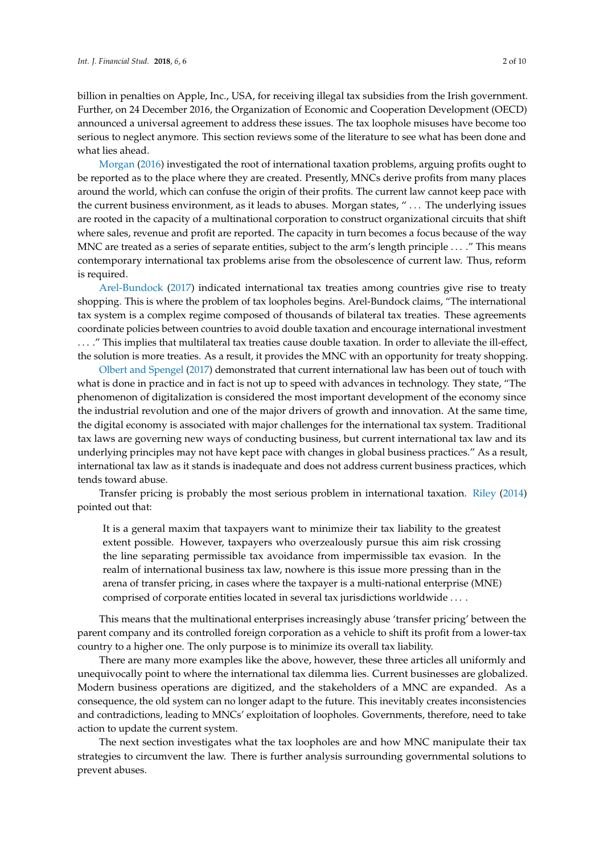billion in penalties on Apple, Inc., USA, for receiving illegal tax subsidies from the Irish government. Further, on 24 December 2016, the Organization of Economic and Cooperation Development (OECD) announced a universal agreement to address these issues. The tax loophole misuses have become too serious to neglect anymore. This section reviews some of the literature to see what has been done and what lies ahead.

[Morgan](#page-10-0) [\(2016\)](#page-10-0) investigated the root of international taxation problems, arguing profits ought to be reported as to the place where they are created. Presently, MNCs derive profits from many places around the world, which can confuse the origin of their profits. The current law cannot keep pace with the current business environment, as it leads to abuses. Morgan states, " . . . The underlying issues are rooted in the capacity of a multinational corporation to construct organizational circuits that shift where sales, revenue and profit are reported. The capacity in turn becomes a focus because of the way MNC are treated as a series of separate entities, subject to the arm's length principle . . . ." This means contemporary international tax problems arise from the obsolescence of current law. Thus, reform is required.

[Arel-Bundock](#page-10-1) [\(2017\)](#page-10-1) indicated international tax treaties among countries give rise to treaty shopping. This is where the problem of tax loopholes begins. Arel-Bundock claims, "The international tax system is a complex regime composed of thousands of bilateral tax treaties. These agreements coordinate policies between countries to avoid double taxation and encourage international investment . . . ." This implies that multilateral tax treaties cause double taxation. In order to alleviate the ill-effect, the solution is more treaties. As a result, it provides the MNC with an opportunity for treaty shopping.

[Olbert and Spengel](#page-10-2) [\(2017\)](#page-10-2) demonstrated that current international law has been out of touch with what is done in practice and in fact is not up to speed with advances in technology. They state, "The phenomenon of digitalization is considered the most important development of the economy since the industrial revolution and one of the major drivers of growth and innovation. At the same time, the digital economy is associated with major challenges for the international tax system. Traditional tax laws are governing new ways of conducting business, but current international tax law and its underlying principles may not have kept pace with changes in global business practices." As a result, international tax law as it stands is inadequate and does not address current business practices, which tends toward abuse.

Transfer pricing is probably the most serious problem in international taxation. [Riley](#page-10-3) [\(2014\)](#page-10-3) pointed out that:

It is a general maxim that taxpayers want to minimize their tax liability to the greatest extent possible. However, taxpayers who overzealously pursue this aim risk crossing the line separating permissible tax avoidance from impermissible tax evasion. In the realm of international business tax law, nowhere is this issue more pressing than in the arena of transfer pricing, in cases where the taxpayer is a multi-national enterprise (MNE) comprised of corporate entities located in several tax jurisdictions worldwide . . . .

This means that the multinational enterprises increasingly abuse 'transfer pricing' between the parent company and its controlled foreign corporation as a vehicle to shift its profit from a lower-tax country to a higher one. The only purpose is to minimize its overall tax liability.

There are many more examples like the above, however, these three articles all uniformly and unequivocally point to where the international tax dilemma lies. Current businesses are globalized. Modern business operations are digitized, and the stakeholders of a MNC are expanded. As a consequence, the old system can no longer adapt to the future. This inevitably creates inconsistencies and contradictions, leading to MNCs' exploitation of loopholes. Governments, therefore, need to take action to update the current system.

The next section investigates what the tax loopholes are and how MNC manipulate their tax strategies to circumvent the law. There is further analysis surrounding governmental solutions to prevent abuses.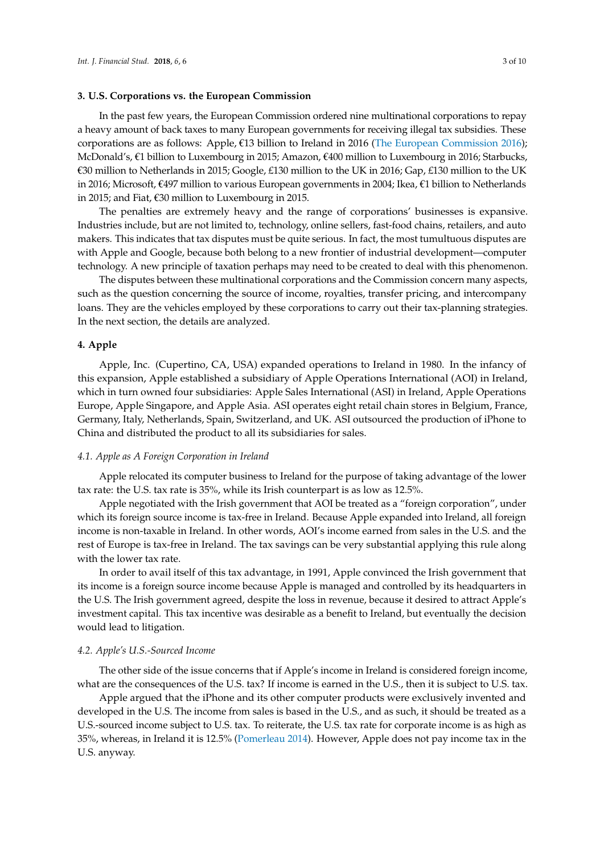#### **3. U.S. Corporations vs. the European Commission**

In the past few years, the European Commission ordered nine multinational corporations to repay a heavy amount of back taxes to many European governments for receiving illegal tax subsidies. These corporations are as follows: Apple,  $\epsilon$ 13 billion to Ireland in 2016 [\(The European Commission](#page-10-4) [2016\)](#page-10-4); McDonald's, €1 billion to Luxembourg in 2015; Amazon, €400 million to Luxembourg in 2016; Starbucks, €30 million to Netherlands in 2015; Google, £130 million to the UK in 2016; Gap, £130 million to the UK in 2016; Microsoft, €497 million to various European governments in 2004; Ikea, €1 billion to Netherlands in 2015; and Fiat, €30 million to Luxembourg in 2015.

The penalties are extremely heavy and the range of corporations' businesses is expansive. Industries include, but are not limited to, technology, online sellers, fast-food chains, retailers, and auto makers. This indicates that tax disputes must be quite serious. In fact, the most tumultuous disputes are with Apple and Google, because both belong to a new frontier of industrial development—computer technology. A new principle of taxation perhaps may need to be created to deal with this phenomenon.

The disputes between these multinational corporations and the Commission concern many aspects, such as the question concerning the source of income, royalties, transfer pricing, and intercompany loans. They are the vehicles employed by these corporations to carry out their tax-planning strategies. In the next section, the details are analyzed.

#### **4. Apple**

Apple, Inc. (Cupertino, CA, USA) expanded operations to Ireland in 1980. In the infancy of this expansion, Apple established a subsidiary of Apple Operations International (AOI) in Ireland, which in turn owned four subsidiaries: Apple Sales International (ASI) in Ireland, Apple Operations Europe, Apple Singapore, and Apple Asia. ASI operates eight retail chain stores in Belgium, France, Germany, Italy, Netherlands, Spain, Switzerland, and UK. ASI outsourced the production of iPhone to China and distributed the product to all its subsidiaries for sales.

#### *4.1. Apple as A Foreign Corporation in Ireland*

Apple relocated its computer business to Ireland for the purpose of taking advantage of the lower tax rate: the U.S. tax rate is 35%, while its Irish counterpart is as low as 12.5%.

Apple negotiated with the Irish government that AOI be treated as a "foreign corporation", under which its foreign source income is tax-free in Ireland. Because Apple expanded into Ireland, all foreign income is non-taxable in Ireland. In other words, AOI's income earned from sales in the U.S. and the rest of Europe is tax-free in Ireland. The tax savings can be very substantial applying this rule along with the lower tax rate.

In order to avail itself of this tax advantage, in 1991, Apple convinced the Irish government that its income is a foreign source income because Apple is managed and controlled by its headquarters in the U.S. The Irish government agreed, despite the loss in revenue, because it desired to attract Apple's investment capital. This tax incentive was desirable as a benefit to Ireland, but eventually the decision would lead to litigation.

#### *4.2. Apple's U.S.-Sourced Income*

The other side of the issue concerns that if Apple's income in Ireland is considered foreign income, what are the consequences of the U.S. tax? If income is earned in the U.S., then it is subject to U.S. tax.

Apple argued that the iPhone and its other computer products were exclusively invented and developed in the U.S. The income from sales is based in the U.S., and as such, it should be treated as a U.S.-sourced income subject to U.S. tax. To reiterate, the U.S. tax rate for corporate income is as high as 35%, whereas, in Ireland it is 12.5% [\(Pomerleau](#page-10-5) [2014\)](#page-10-5). However, Apple does not pay income tax in the U.S. anyway.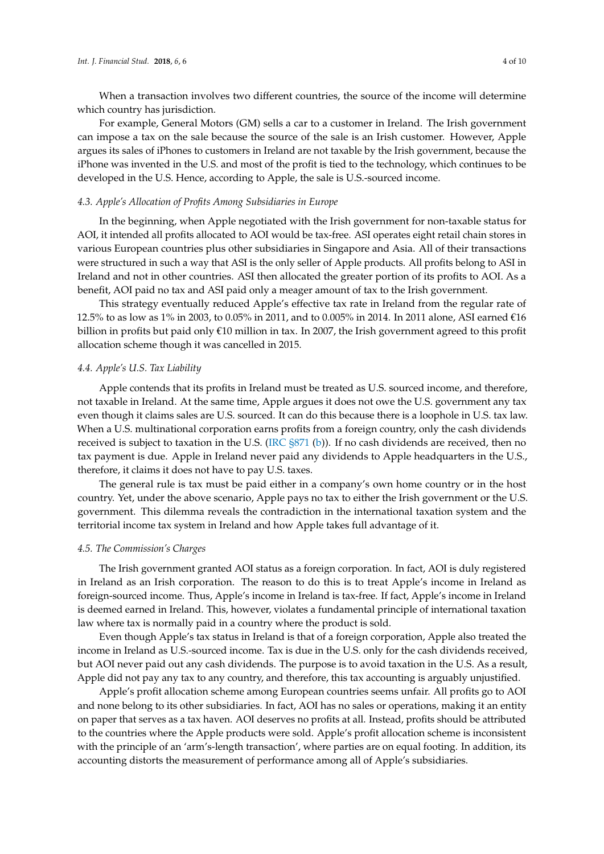When a transaction involves two different countries, the source of the income will determine which country has jurisdiction.

For example, General Motors (GM) sells a car to a customer in Ireland. The Irish government can impose a tax on the sale because the source of the sale is an Irish customer. However, Apple argues its sales of iPhones to customers in Ireland are not taxable by the Irish government, because the iPhone was invented in the U.S. and most of the profit is tied to the technology, which continues to be developed in the U.S. Hence, according to Apple, the sale is U.S.-sourced income.

## *4.3. Apple's Allocation of Profits Among Subsidiaries in Europe*

In the beginning, when Apple negotiated with the Irish government for non-taxable status for AOI, it intended all profits allocated to AOI would be tax-free. ASI operates eight retail chain stores in various European countries plus other subsidiaries in Singapore and Asia. All of their transactions were structured in such a way that ASI is the only seller of Apple products. All profits belong to ASI in Ireland and not in other countries. ASI then allocated the greater portion of its profits to AOI. As a benefit, AOI paid no tax and ASI paid only a meager amount of tax to the Irish government.

This strategy eventually reduced Apple's effective tax rate in Ireland from the regular rate of 12.5% to as low as 1% in 2003, to 0.05% in 2011, and to 0.005% in 2014. In 2011 alone, ASI earned  $\epsilon$ 16 billion in profits but paid only €10 million in tax. In 2007, the Irish government agreed to this profit allocation scheme though it was cancelled in 2015.

#### *4.4. Apple's U.S. Tax Liability*

Apple contends that its profits in Ireland must be treated as U.S. sourced income, and therefore, not taxable in Ireland. At the same time, Apple argues it does not owe the U.S. government any tax even though it claims sales are U.S. sourced. It can do this because there is a loophole in U.S. tax law. When a U.S. multinational corporation earns profits from a foreign country, only the cash dividends received is subject to taxation in the U.S. [\(IRC §871](#page-10-6) [\(b\)](#page-10-6)). If no cash dividends are received, then no tax payment is due. Apple in Ireland never paid any dividends to Apple headquarters in the U.S., therefore, it claims it does not have to pay U.S. taxes.

The general rule is tax must be paid either in a company's own home country or in the host country. Yet, under the above scenario, Apple pays no tax to either the Irish government or the U.S. government. This dilemma reveals the contradiction in the international taxation system and the territorial income tax system in Ireland and how Apple takes full advantage of it.

#### *4.5. The Commission's Charges*

The Irish government granted AOI status as a foreign corporation. In fact, AOI is duly registered in Ireland as an Irish corporation. The reason to do this is to treat Apple's income in Ireland as foreign-sourced income. Thus, Apple's income in Ireland is tax-free. If fact, Apple's income in Ireland is deemed earned in Ireland. This, however, violates a fundamental principle of international taxation law where tax is normally paid in a country where the product is sold.

Even though Apple's tax status in Ireland is that of a foreign corporation, Apple also treated the income in Ireland as U.S.-sourced income. Tax is due in the U.S. only for the cash dividends received, but AOI never paid out any cash dividends. The purpose is to avoid taxation in the U.S. As a result, Apple did not pay any tax to any country, and therefore, this tax accounting is arguably unjustified.

Apple's profit allocation scheme among European countries seems unfair. All profits go to AOI and none belong to its other subsidiaries. In fact, AOI has no sales or operations, making it an entity on paper that serves as a tax haven. AOI deserves no profits at all. Instead, profits should be attributed to the countries where the Apple products were sold. Apple's profit allocation scheme is inconsistent with the principle of an 'arm's-length transaction', where parties are on equal footing. In addition, its accounting distorts the measurement of performance among all of Apple's subsidiaries.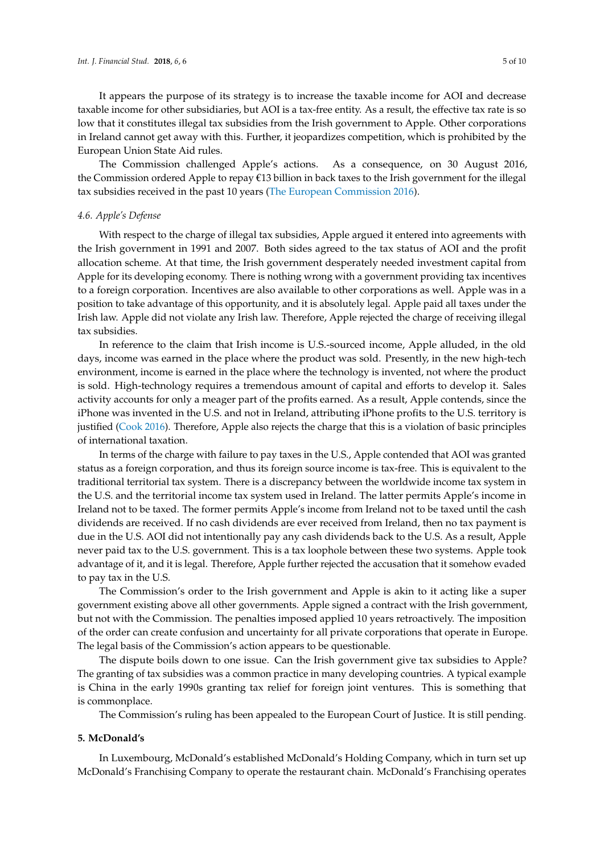It appears the purpose of its strategy is to increase the taxable income for AOI and decrease taxable income for other subsidiaries, but AOI is a tax-free entity. As a result, the effective tax rate is so low that it constitutes illegal tax subsidies from the Irish government to Apple. Other corporations in Ireland cannot get away with this. Further, it jeopardizes competition, which is prohibited by the European Union State Aid rules.

The Commission challenged Apple's actions. As a consequence, on 30 August 2016, the Commission ordered Apple to repay €13 billion in back taxes to the Irish government for the illegal tax subsidies received in the past 10 years [\(The European Commission](#page-10-4) [2016\)](#page-10-4).

#### *4.6. Apple's Defense*

With respect to the charge of illegal tax subsidies, Apple argued it entered into agreements with the Irish government in 1991 and 2007. Both sides agreed to the tax status of AOI and the profit allocation scheme. At that time, the Irish government desperately needed investment capital from Apple for its developing economy. There is nothing wrong with a government providing tax incentives to a foreign corporation. Incentives are also available to other corporations as well. Apple was in a position to take advantage of this opportunity, and it is absolutely legal. Apple paid all taxes under the Irish law. Apple did not violate any Irish law. Therefore, Apple rejected the charge of receiving illegal tax subsidies.

In reference to the claim that Irish income is U.S.-sourced income, Apple alluded, in the old days, income was earned in the place where the product was sold. Presently, in the new high-tech environment, income is earned in the place where the technology is invented, not where the product is sold. High-technology requires a tremendous amount of capital and efforts to develop it. Sales activity accounts for only a meager part of the profits earned. As a result, Apple contends, since the iPhone was invented in the U.S. and not in Ireland, attributing iPhone profits to the U.S. territory is justified [\(Cook](#page-10-7) [2016\)](#page-10-7). Therefore, Apple also rejects the charge that this is a violation of basic principles of international taxation.

In terms of the charge with failure to pay taxes in the U.S., Apple contended that AOI was granted status as a foreign corporation, and thus its foreign source income is tax-free. This is equivalent to the traditional territorial tax system. There is a discrepancy between the worldwide income tax system in the U.S. and the territorial income tax system used in Ireland. The latter permits Apple's income in Ireland not to be taxed. The former permits Apple's income from Ireland not to be taxed until the cash dividends are received. If no cash dividends are ever received from Ireland, then no tax payment is due in the U.S. AOI did not intentionally pay any cash dividends back to the U.S. As a result, Apple never paid tax to the U.S. government. This is a tax loophole between these two systems. Apple took advantage of it, and it is legal. Therefore, Apple further rejected the accusation that it somehow evaded to pay tax in the U.S.

The Commission's order to the Irish government and Apple is akin to it acting like a super government existing above all other governments. Apple signed a contract with the Irish government, but not with the Commission. The penalties imposed applied 10 years retroactively. The imposition of the order can create confusion and uncertainty for all private corporations that operate in Europe. The legal basis of the Commission's action appears to be questionable.

The dispute boils down to one issue. Can the Irish government give tax subsidies to Apple? The granting of tax subsidies was a common practice in many developing countries. A typical example is China in the early 1990s granting tax relief for foreign joint ventures. This is something that is commonplace.

The Commission's ruling has been appealed to the European Court of Justice. It is still pending.

#### **5. McDonald's**

In Luxembourg, McDonald's established McDonald's Holding Company, which in turn set up McDonald's Franchising Company to operate the restaurant chain. McDonald's Franchising operates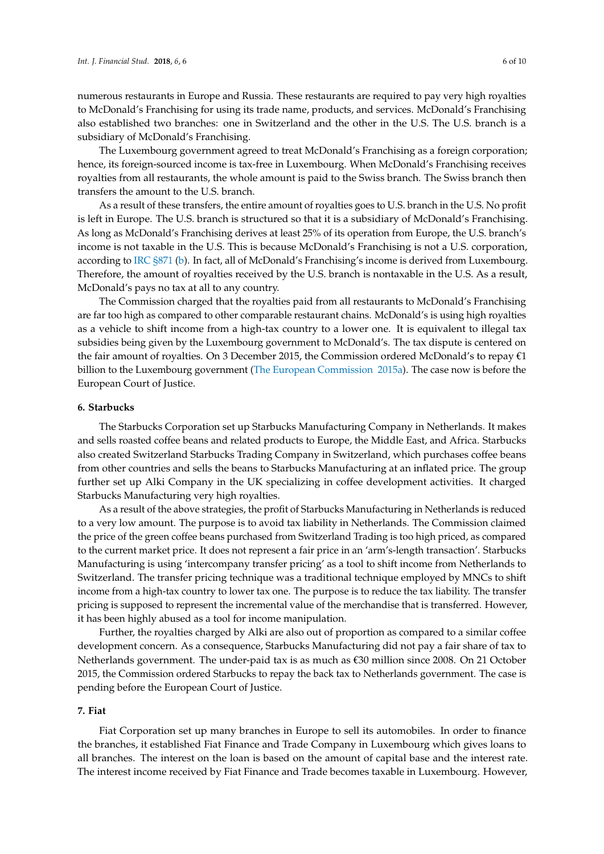numerous restaurants in Europe and Russia. These restaurants are required to pay very high royalties to McDonald's Franchising for using its trade name, products, and services. McDonald's Franchising also established two branches: one in Switzerland and the other in the U.S. The U.S. branch is a subsidiary of McDonald's Franchising.

The Luxembourg government agreed to treat McDonald's Franchising as a foreign corporation; hence, its foreign-sourced income is tax-free in Luxembourg. When McDonald's Franchising receives royalties from all restaurants, the whole amount is paid to the Swiss branch. The Swiss branch then transfers the amount to the U.S. branch.

As a result of these transfers, the entire amount of royalties goes to U.S. branch in the U.S. No profit is left in Europe. The U.S. branch is structured so that it is a subsidiary of McDonald's Franchising. As long as McDonald's Franchising derives at least 25% of its operation from Europe, the U.S. branch's income is not taxable in the U.S. This is because McDonald's Franchising is not a U.S. corporation, according to [IRC §871](#page-10-6) [\(b\)](#page-10-6). In fact, all of McDonald's Franchising's income is derived from Luxembourg. Therefore, the amount of royalties received by the U.S. branch is nontaxable in the U.S. As a result, McDonald's pays no tax at all to any country.

The Commission charged that the royalties paid from all restaurants to McDonald's Franchising are far too high as compared to other comparable restaurant chains. McDonald's is using high royalties as a vehicle to shift income from a high-tax country to a lower one. It is equivalent to illegal tax subsidies being given by the Luxembourg government to McDonald's. The tax dispute is centered on the fair amount of royalties. On 3 December 2015, the Commission ordered McDonald's to repay €1 billion to the Luxembourg government [\(The European Commission](#page-10-8) [2015a\)](#page-10-8). The case now is before the European Court of Justice.

#### **6. Starbucks**

The Starbucks Corporation set up Starbucks Manufacturing Company in Netherlands. It makes and sells roasted coffee beans and related products to Europe, the Middle East, and Africa. Starbucks also created Switzerland Starbucks Trading Company in Switzerland, which purchases coffee beans from other countries and sells the beans to Starbucks Manufacturing at an inflated price. The group further set up Alki Company in the UK specializing in coffee development activities. It charged Starbucks Manufacturing very high royalties.

As a result of the above strategies, the profit of Starbucks Manufacturing in Netherlands is reduced to a very low amount. The purpose is to avoid tax liability in Netherlands. The Commission claimed the price of the green coffee beans purchased from Switzerland Trading is too high priced, as compared to the current market price. It does not represent a fair price in an 'arm's-length transaction'. Starbucks Manufacturing is using 'intercompany transfer pricing' as a tool to shift income from Netherlands to Switzerland. The transfer pricing technique was a traditional technique employed by MNCs to shift income from a high-tax country to lower tax one. The purpose is to reduce the tax liability. The transfer pricing is supposed to represent the incremental value of the merchandise that is transferred. However, it has been highly abused as a tool for income manipulation.

Further, the royalties charged by Alki are also out of proportion as compared to a similar coffee development concern. As a consequence, Starbucks Manufacturing did not pay a fair share of tax to Netherlands government. The under-paid tax is as much as €30 million since 2008. On 21 October 2015, the Commission ordered Starbucks to repay the back tax to Netherlands government. The case is pending before the European Court of Justice.

#### **7. Fiat**

Fiat Corporation set up many branches in Europe to sell its automobiles. In order to finance the branches, it established Fiat Finance and Trade Company in Luxembourg which gives loans to all branches. The interest on the loan is based on the amount of capital base and the interest rate. The interest income received by Fiat Finance and Trade becomes taxable in Luxembourg. However,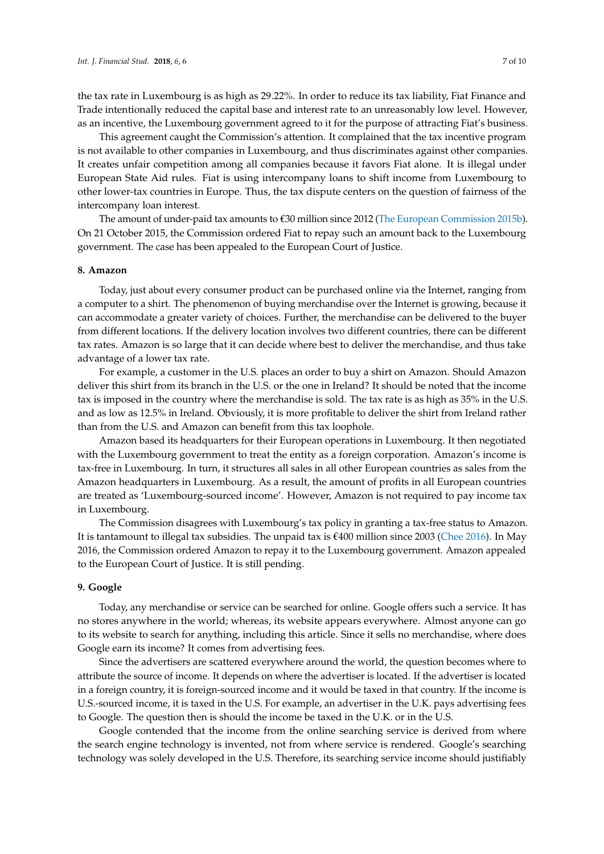the tax rate in Luxembourg is as high as 29.22%. In order to reduce its tax liability, Fiat Finance and Trade intentionally reduced the capital base and interest rate to an unreasonably low level. However, as an incentive, the Luxembourg government agreed to it for the purpose of attracting Fiat's business.

This agreement caught the Commission's attention. It complained that the tax incentive program is not available to other companies in Luxembourg, and thus discriminates against other companies. It creates unfair competition among all companies because it favors Fiat alone. It is illegal under European State Aid rules. Fiat is using intercompany loans to shift income from Luxembourg to other lower-tax countries in Europe. Thus, the tax dispute centers on the question of fairness of the intercompany loan interest.

The amount of under-paid tax amounts to  $\epsilon$ 30 million since 2012 [\(The European Commission](#page-10-9) [2015b\)](#page-10-9). On 21 October 2015, the Commission ordered Fiat to repay such an amount back to the Luxembourg government. The case has been appealed to the European Court of Justice.

#### **8. Amazon**

Today, just about every consumer product can be purchased online via the Internet, ranging from a computer to a shirt. The phenomenon of buying merchandise over the Internet is growing, because it can accommodate a greater variety of choices. Further, the merchandise can be delivered to the buyer from different locations. If the delivery location involves two different countries, there can be different tax rates. Amazon is so large that it can decide where best to deliver the merchandise, and thus take advantage of a lower tax rate.

For example, a customer in the U.S. places an order to buy a shirt on Amazon. Should Amazon deliver this shirt from its branch in the U.S. or the one in Ireland? It should be noted that the income tax is imposed in the country where the merchandise is sold. The tax rate is as high as 35% in the U.S. and as low as 12.5% in Ireland. Obviously, it is more profitable to deliver the shirt from Ireland rather than from the U.S. and Amazon can benefit from this tax loophole.

Amazon based its headquarters for their European operations in Luxembourg. It then negotiated with the Luxembourg government to treat the entity as a foreign corporation. Amazon's income is tax-free in Luxembourg. In turn, it structures all sales in all other European countries as sales from the Amazon headquarters in Luxembourg. As a result, the amount of profits in all European countries are treated as 'Luxembourg-sourced income'. However, Amazon is not required to pay income tax in Luxembourg.

The Commission disagrees with Luxembourg's tax policy in granting a tax-free status to Amazon. It is tantamount to illegal tax subsidies. The unpaid tax is €400 million since 2003 [\(Chee](#page-10-10) [2016\)](#page-10-10). In May 2016, the Commission ordered Amazon to repay it to the Luxembourg government. Amazon appealed to the European Court of Justice. It is still pending.

#### **9. Google**

Today, any merchandise or service can be searched for online. Google offers such a service. It has no stores anywhere in the world; whereas, its website appears everywhere. Almost anyone can go to its website to search for anything, including this article. Since it sells no merchandise, where does Google earn its income? It comes from advertising fees.

Since the advertisers are scattered everywhere around the world, the question becomes where to attribute the source of income. It depends on where the advertiser is located. If the advertiser is located in a foreign country, it is foreign-sourced income and it would be taxed in that country. If the income is U.S.-sourced income, it is taxed in the U.S. For example, an advertiser in the U.K. pays advertising fees to Google. The question then is should the income be taxed in the U.K. or in the U.S.

Google contended that the income from the online searching service is derived from where the search engine technology is invented, not from where service is rendered. Google's searching technology was solely developed in the U.S. Therefore, its searching service income should justifiably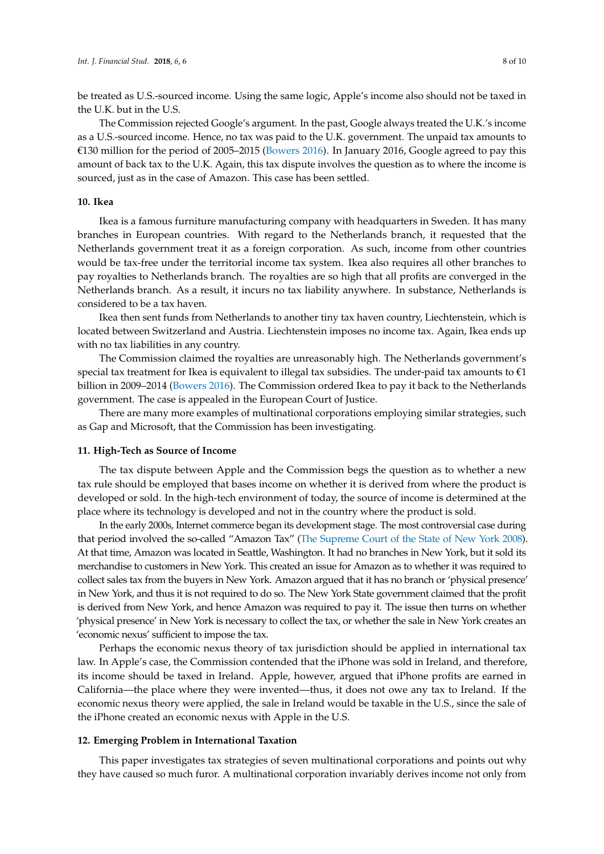be treated as U.S.-sourced income. Using the same logic, Apple's income also should not be taxed in the U.K. but in the U.S.

The Commission rejected Google's argument. In the past, Google always treated the U.K.'s income as a U.S.-sourced income. Hence, no tax was paid to the U.K. government. The unpaid tax amounts to €130 million for the period of 2005–2015 [\(Bowers](#page-10-11) [2016\)](#page-10-11). In January 2016, Google agreed to pay this amount of back tax to the U.K. Again, this tax dispute involves the question as to where the income is sourced, just as in the case of Amazon. This case has been settled.

#### **10. Ikea**

Ikea is a famous furniture manufacturing company with headquarters in Sweden. It has many branches in European countries. With regard to the Netherlands branch, it requested that the Netherlands government treat it as a foreign corporation. As such, income from other countries would be tax-free under the territorial income tax system. Ikea also requires all other branches to pay royalties to Netherlands branch. The royalties are so high that all profits are converged in the Netherlands branch. As a result, it incurs no tax liability anywhere. In substance, Netherlands is considered to be a tax haven.

Ikea then sent funds from Netherlands to another tiny tax haven country, Liechtenstein, which is located between Switzerland and Austria. Liechtenstein imposes no income tax. Again, Ikea ends up with no tax liabilities in any country.

The Commission claimed the royalties are unreasonably high. The Netherlands government's special tax treatment for Ikea is equivalent to illegal tax subsidies. The under-paid tax amounts to  $\epsilon_1$ billion in 2009–2014 [\(Bowers](#page-10-11) [2016\)](#page-10-11). The Commission ordered Ikea to pay it back to the Netherlands government. The case is appealed in the European Court of Justice.

There are many more examples of multinational corporations employing similar strategies, such as Gap and Microsoft, that the Commission has been investigating.

#### **11. High-Tech as Source of Income**

The tax dispute between Apple and the Commission begs the question as to whether a new tax rule should be employed that bases income on whether it is derived from where the product is developed or sold. In the high-tech environment of today, the source of income is determined at the place where its technology is developed and not in the country where the product is sold.

In the early 2000s, Internet commerce began its development stage. The most controversial case during that period involved the so-called "Amazon Tax" [\(The Supreme Court of the State of New York](#page-10-12) [2008\)](#page-10-12). At that time, Amazon was located in Seattle, Washington. It had no branches in New York, but it sold its merchandise to customers in New York. This created an issue for Amazon as to whether it was required to collect sales tax from the buyers in New York. Amazon argued that it has no branch or 'physical presence' in New York, and thus it is not required to do so. The New York State government claimed that the profit is derived from New York, and hence Amazon was required to pay it. The issue then turns on whether 'physical presence' in New York is necessary to collect the tax, or whether the sale in New York creates an 'economic nexus' sufficient to impose the tax.

Perhaps the economic nexus theory of tax jurisdiction should be applied in international tax law. In Apple's case, the Commission contended that the iPhone was sold in Ireland, and therefore, its income should be taxed in Ireland. Apple, however, argued that iPhone profits are earned in California—the place where they were invented—thus, it does not owe any tax to Ireland. If the economic nexus theory were applied, the sale in Ireland would be taxable in the U.S., since the sale of the iPhone created an economic nexus with Apple in the U.S.

#### **12. Emerging Problem in International Taxation**

This paper investigates tax strategies of seven multinational corporations and points out why they have caused so much furor. A multinational corporation invariably derives income not only from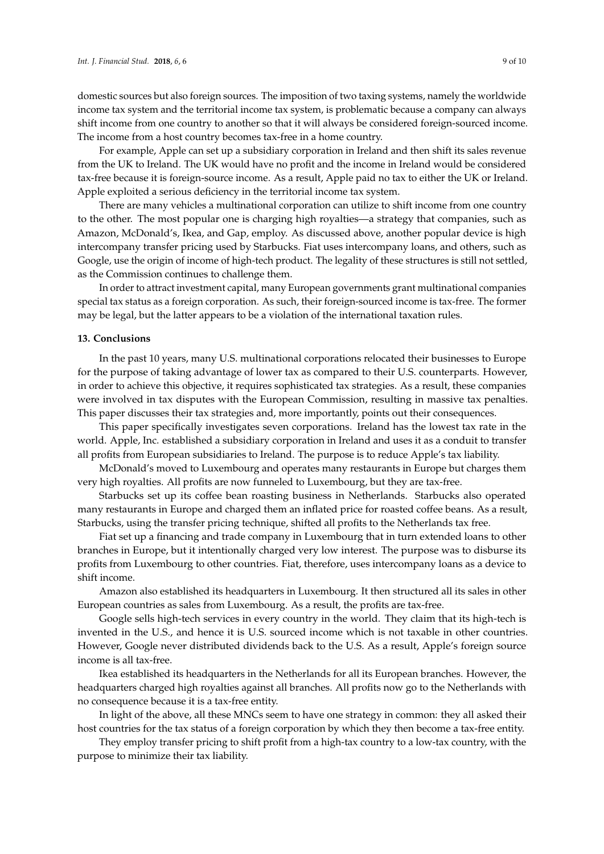domestic sources but also foreign sources. The imposition of two taxing systems, namely the worldwide income tax system and the territorial income tax system, is problematic because a company can always shift income from one country to another so that it will always be considered foreign-sourced income. The income from a host country becomes tax-free in a home country.

For example, Apple can set up a subsidiary corporation in Ireland and then shift its sales revenue from the UK to Ireland. The UK would have no profit and the income in Ireland would be considered tax-free because it is foreign-source income. As a result, Apple paid no tax to either the UK or Ireland. Apple exploited a serious deficiency in the territorial income tax system.

There are many vehicles a multinational corporation can utilize to shift income from one country to the other. The most popular one is charging high royalties—a strategy that companies, such as Amazon, McDonald's, Ikea, and Gap, employ. As discussed above, another popular device is high intercompany transfer pricing used by Starbucks. Fiat uses intercompany loans, and others, such as Google, use the origin of income of high-tech product. The legality of these structures is still not settled, as the Commission continues to challenge them.

In order to attract investment capital, many European governments grant multinational companies special tax status as a foreign corporation. As such, their foreign-sourced income is tax-free. The former may be legal, but the latter appears to be a violation of the international taxation rules.

#### **13. Conclusions**

In the past 10 years, many U.S. multinational corporations relocated their businesses to Europe for the purpose of taking advantage of lower tax as compared to their U.S. counterparts. However, in order to achieve this objective, it requires sophisticated tax strategies. As a result, these companies were involved in tax disputes with the European Commission, resulting in massive tax penalties. This paper discusses their tax strategies and, more importantly, points out their consequences.

This paper specifically investigates seven corporations. Ireland has the lowest tax rate in the world. Apple, Inc. established a subsidiary corporation in Ireland and uses it as a conduit to transfer all profits from European subsidiaries to Ireland. The purpose is to reduce Apple's tax liability.

McDonald's moved to Luxembourg and operates many restaurants in Europe but charges them very high royalties. All profits are now funneled to Luxembourg, but they are tax-free.

Starbucks set up its coffee bean roasting business in Netherlands. Starbucks also operated many restaurants in Europe and charged them an inflated price for roasted coffee beans. As a result, Starbucks, using the transfer pricing technique, shifted all profits to the Netherlands tax free.

Fiat set up a financing and trade company in Luxembourg that in turn extended loans to other branches in Europe, but it intentionally charged very low interest. The purpose was to disburse its profits from Luxembourg to other countries. Fiat, therefore, uses intercompany loans as a device to shift income.

Amazon also established its headquarters in Luxembourg. It then structured all its sales in other European countries as sales from Luxembourg. As a result, the profits are tax-free.

Google sells high-tech services in every country in the world. They claim that its high-tech is invented in the U.S., and hence it is U.S. sourced income which is not taxable in other countries. However, Google never distributed dividends back to the U.S. As a result, Apple's foreign source income is all tax-free.

Ikea established its headquarters in the Netherlands for all its European branches. However, the headquarters charged high royalties against all branches. All profits now go to the Netherlands with no consequence because it is a tax-free entity.

In light of the above, all these MNCs seem to have one strategy in common: they all asked their host countries for the tax status of a foreign corporation by which they then become a tax-free entity.

They employ transfer pricing to shift profit from a high-tax country to a low-tax country, with the purpose to minimize their tax liability.